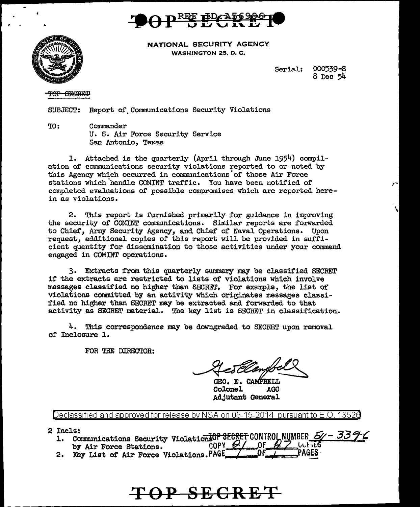



NATIONAL SECURITY AGENCY WASHINGTON 25, D.C.

> 000539-S Serial:  $8$  Dec  $54$

#### OP SECRET

**SUBJECT:** Report of Communications Security Violations

TO: Commander U. S. Air Force Security Service San Antonio, Texas

1. Attached is the quarterly (April through June 1954) compilation of communications security violations reported to or noted by this Agency which occurred in communications of those Air Force stations which handle COMINT traffic. You have been notified of completed evaluations of possible compromises which are reported herein as violations.

2. This report is furnished primarily for guidance in improving the security of COMINT communications. Similar reports are forwarded to Chief, Army Security Agency, and Chief of Naval Operations. Upon request, additional copies of this report will be provided in sufficient quantity for dissemination to those activities under your command engaged in COMINT operations.

3. Extracts from this quarterly summary may be classified SECRET if the extracts are restricted to lists of violations which involve messages classified no higher than SECRET. For example, the list of violations committed by an activity which originates messages classified no higher than SECRET may be extracted and forwarded to that activity as SECRET material. The key list is SECRET in classification.

4. This correspondence may be downgraded to SECRET upon removal of Inclosure 1.

FOR THE DIRECTOR:

GEO. E. CAMPBELL Colonel AGC. Adjutant General

Declassified and approved for release by NSA on 05-15-2014 pursuant to E.O. 13526

- 2 Incls:
	- 1. Communications Security Violation 50P SECRET CONTROL NUMBER 50 3396 COPY  $61$  OF  $6$ 7 *litt* its by Air Force Stations.
	- 2. Key List of Air Force Violations. PAGE PAGES

# TOP SECRET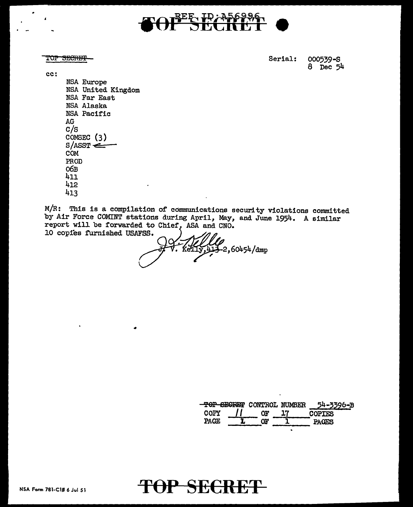

TOP SECRET

cc:

Serial: 000539-S 8 Dec 54

NSA Europe NSA United Kingdom NSA Far East NSA Alaska NSA Pacific AG  $C/S$ COMSEC  $(3)$  $S/ASST \leftarrow$ COM PROD обв  $411$ 412 413

M/R: This is a compilation of communications security violations committed by Air Force COMINT stations during April, May, and June 1954. A similar report will be forwarded to Chief, ASA and CNO. 10 copies furnished USAFSS.

-2,60454/dmp

|      | TOP SECRET CONTROL NUMBER | 54-3396-B     |
|------|---------------------------|---------------|
| COPY |                           | <b>COPTES</b> |
| PACE |                           | <b>PACES</b>  |

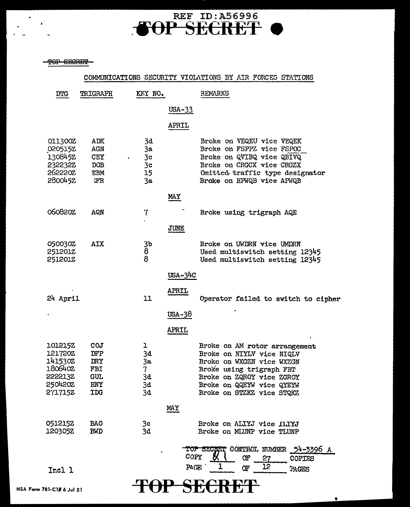# FOP SECRET O

TOP SECRET

 $\ddot{\bullet}$ 

|                                                                           |                                                      |                                                          |                       | COMMUNICATIONS SECURITY VIOLATIONS BY AIR FORCES STATIONS                                                                                                                                                  |
|---------------------------------------------------------------------------|------------------------------------------------------|----------------------------------------------------------|-----------------------|------------------------------------------------------------------------------------------------------------------------------------------------------------------------------------------------------------|
| <b>DTG</b>                                                                | TRIGRAPH                                             | KFY NO.                                                  |                       | REMARKS                                                                                                                                                                                                    |
|                                                                           |                                                      |                                                          | $USA-33$              |                                                                                                                                                                                                            |
|                                                                           |                                                      |                                                          | APRIL                 |                                                                                                                                                                                                            |
| 011300Z<br>0205152<br>130845Z<br>232232Z<br>262220Z<br><b>2800452</b>     | ADK<br>AGN<br><b>CEY</b><br>DOB<br><b>EBM</b><br>ŦР  | 3d<br>3a<br>3 <sub>c</sub><br>3 <sub>c</sub><br>15<br>3a |                       | Broke on VEQEU vice VEQEK<br>Broke on FSPPZ vice FSPOC<br>Broke on QVIBQ vice QBIVQ<br>Broke on CRGCX vice CRGZX<br>Omitted traffic type designator<br>Broke on HPWQB vice APWQB                           |
|                                                                           |                                                      |                                                          | MAY                   |                                                                                                                                                                                                            |
| 060820Z                                                                   | AQN                                                  | 7                                                        |                       | Broke using trigraph AQE                                                                                                                                                                                   |
|                                                                           |                                                      |                                                          | JUNE                  |                                                                                                                                                                                                            |
| 050030Z<br><b>251201Z</b><br>251201Z                                      | <b>AIX</b>                                           | 3b<br>8<br>8                                             |                       | Broke on UWDRN vice UMDRN<br>Used multiswitch setting 12345<br>Used multiswitch setting 12345                                                                                                              |
|                                                                           |                                                      |                                                          | $USA-31$ <sub>C</sub> |                                                                                                                                                                                                            |
| 24 April                                                                  |                                                      | 11                                                       | <b>APRIL</b>          | Operator failed to switch to cipher                                                                                                                                                                        |
|                                                                           |                                                      |                                                          | USA-38                |                                                                                                                                                                                                            |
|                                                                           |                                                      |                                                          | APRIL                 |                                                                                                                                                                                                            |
| 101215Z<br>1217202<br>141530Z<br>180640Z<br>222213Z<br>250420Z<br>2717152 | COJ<br>DFP<br>DRY<br>FBI<br><b>GUL</b><br>HNY<br>IDG | ı<br>3đ<br>3a<br>7<br>3d<br>3d<br>3d                     |                       | Broke on AM rotor arrangement<br>Broke on NIYLV vice NIQLV<br>Broke on WXGZN vice WXZGN<br>Broke using trigraph FBT<br>Broke on ZQROY vice ZGROY<br>Broke on QQEYW vice QYEYW<br>Broke on STZKZ vice STQKZ |
|                                                                           |                                                      |                                                          | <b>MAY</b>            |                                                                                                                                                                                                            |
| 051215Z<br>120305Z                                                        | <b>BAO</b><br><b>BMD</b>                             | 3c<br>3d                                                 |                       | Broke on ALIYJ vice ILIYJ<br>Broke on MLUNP vice TLUNP                                                                                                                                                     |
| Incl 1                                                                    |                                                      |                                                          | COPY<br>PACE,         | TOP SECRET CONTROL NUMBER<br>54-3396 A<br>а<br>OF.<br>27<br>COPIES<br>12<br>Œ<br>PAGES                                                                                                                     |
| 81-C1Ø 6 Jul 51                                                           |                                                      |                                                          |                       |                                                                                                                                                                                                            |

 $\bullet$ 

NSA Form 781-C10 6 Jul 51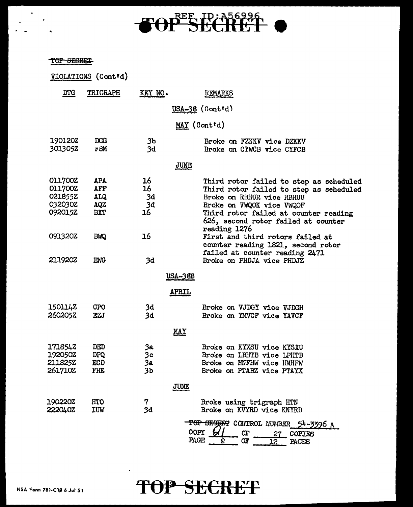# TOP SECRET O

TOP SEGRET

 $\ddot{\phantom{0}}$ 

|                                                            | VIOLATIONS (Cont'd)                                  |                            |                                                                                                                                                                                                                              |
|------------------------------------------------------------|------------------------------------------------------|----------------------------|------------------------------------------------------------------------------------------------------------------------------------------------------------------------------------------------------------------------------|
| DTG                                                        | TRIGRAPH                                             | KEY NO.                    | REMARKS                                                                                                                                                                                                                      |
|                                                            |                                                      |                            | $USA-38$ (Cont'd)                                                                                                                                                                                                            |
|                                                            |                                                      |                            | MAY (Cont'd)                                                                                                                                                                                                                 |
| 190120Z<br>301305Z                                         | <b>DGG</b><br>r BM                                   | 3Ъ<br>3d                   | Broke on FZKKV vice DZKKV<br>Broke on CYWCB vice CYFCB                                                                                                                                                                       |
|                                                            |                                                      |                            | <b>JUNE</b>                                                                                                                                                                                                                  |
| <b>011700Z</b><br>O11700Z<br>021855Z<br>032030Z<br>092015Z | <b>APA</b><br>AFF<br><b>ALQ</b><br><b>AQZ</b><br>BXT | 16<br>16<br>3d<br>3d<br>16 | Third rotor failed to step as scheduled<br>Third rotor failed to step as scheduled<br>Broke on RBHUR vice RBHUU<br>Broke on VWQOK vice VWQOF<br>Third rotor failed at counter reading<br>626, second rotor failed at counter |
| 091320Z<br><b>211920Z</b>                                  | <b>BWQ</b><br><b>EWG</b>                             | 16<br>3d                   | reading 1276<br>First and third rotors failed at<br>counter reading 1821, second rotor<br>failed at counter reading 2471<br>Broke on PHDJA vice PHDJZ                                                                        |
|                                                            |                                                      |                            | <u>USA-38B</u>                                                                                                                                                                                                               |
|                                                            |                                                      |                            | APRIL                                                                                                                                                                                                                        |
| 1501142<br>260205Z                                         | <b>CPO</b><br>EZJ                                    | 3đ<br>3d                   | Broke on VJDGY vice VJDGH<br>Broke on YMVCF vice YAVCF                                                                                                                                                                       |
|                                                            |                                                      |                            | MAY                                                                                                                                                                                                                          |
| 1718542<br>192050Z<br>211825Z<br>2617102                   | DED<br><b>DPQ</b><br>ECD<br>FHE                      | 3а<br>3с<br>3a<br>3Ъ       | Broke on KYXSU vice KYSXU<br>Broke on LBHTB vice LPHTB<br>Broke on HNFHW vice HNHFW<br>Broke on PTABZ vice PTAYX                                                                                                             |
|                                                            |                                                      |                            | <b>JUNE</b>                                                                                                                                                                                                                  |
| 1902202<br>2220402                                         | HTO<br>IUW                                           | 7<br>3d                    | Broke using trigraph HTN<br>Broke on KVYRD vice KNYRD<br>TOP SEGREET CONTROL NUMBER                                                                                                                                          |
|                                                            |                                                      |                            | 54-3396 A<br>COPY<br>Œ<br><b>COPTES</b><br>27<br>PACE<br>QF<br>2<br>12<br>PAGES                                                                                                                                              |



 $\mathbf{z}$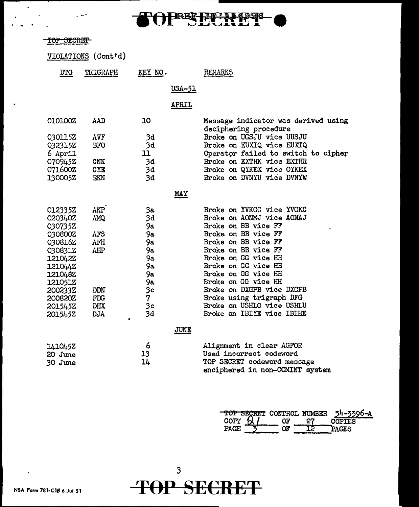

| <del>TOP SECRET</del> |                     |           |                |                                                              |
|-----------------------|---------------------|-----------|----------------|--------------------------------------------------------------|
|                       |                     |           |                |                                                              |
|                       | VIOLATIONS (Cont'd) |           |                |                                                              |
| <b>DTG</b>            | TRIGRAPH            | KEY NO.   |                | REMARKS                                                      |
|                       |                     |           | <u> USA-51</u> |                                                              |
|                       |                     |           |                |                                                              |
|                       |                     |           | APRIL          |                                                              |
| 0101002               | AAD                 | 10        |                | Message indicator was derived using<br>deciphering procedure |
| 0301152               | AVF                 | 3d        |                | Broke on UGSJU vice UUSJU                                    |
| 032315Z               | <b>BFO</b>          | 3d        |                | Broke on EUXIQ vice EUXTQ                                    |
| 6 April               |                     | 11        |                | Operator failed to switch to cipher                          |
| 0709452               | <b>CNK</b>          | 3d        |                | Broke on EXTHK vice EXTHR                                    |
| 071600Z               | CYE                 | 3d        |                | Broke on QYKEX vice OYKEX                                    |
| 130005Z               | EKN                 | 3d        |                | Broke on DVNYU vice DVNYW                                    |
|                       |                     |           | <u>MAY</u>     |                                                              |
| 012335Z               | <b>AKP</b>          | 3a        |                | Broke on YVKGC vice YVGKC                                    |
| 020340Z               | AMQ                 | 3d        |                | Broke on AONMJ vice AONAJ                                    |
| 030735Z               |                     | 9а        |                | Broke on BB vice FF                                          |
| 030800Z               | AFS                 | 9а        |                | Broke on BB vice FF                                          |
| 030816Z               | AFH                 | 9a        |                | Broke on BB vice FF                                          |
| 030831Z               | AHP                 | 9а.       |                | Broke on BB vice FF                                          |
| 1210422               |                     | 9а.       |                | Broke on GG vice HH                                          |
| 1210442               |                     | 9a        |                | Broke on GG vice HH                                          |
| 121048Z               |                     | 9а        |                | Broke on GG vice HH<br>Broke on GG vice HH                   |
| 121051Z<br>200233Z    | <b>DDN</b>          | 9а.<br>3с |                | Broke on DXGPB vice DXCPB                                    |
| 200820Z               | <b>FDG</b>          | 7         |                | Broke using trigraph DFG                                     |
| 201545Z               | <b>DHX</b>          | 3c        |                | Broke on USHLO vice USHLU                                    |
| 2015452               | <b>DJA</b>          | 3d        |                | Broke on IBIYE vice IBIHE                                    |
|                       |                     |           |                |                                                              |
|                       |                     |           | JUNE           |                                                              |

| 1410452 | 6  | Alignment in clear AGFOR        |
|---------|----|---------------------------------|
| 20 June | 13 | Used incorrect codeword         |
| 30 June | 14 | TOP SECRET codeword message     |
|         |    | enciphered in non-COMINT system |

|             | TOP SECRET CONTROL NUMBER | 54-3396-A |
|-------------|---------------------------|-----------|
| <b>COFY</b> | OF.                       | COPTES    |
| P∆CF.       | זנ                        | PACES     |



l,

. - .

 $\bullet$ 

 $\ddotsc$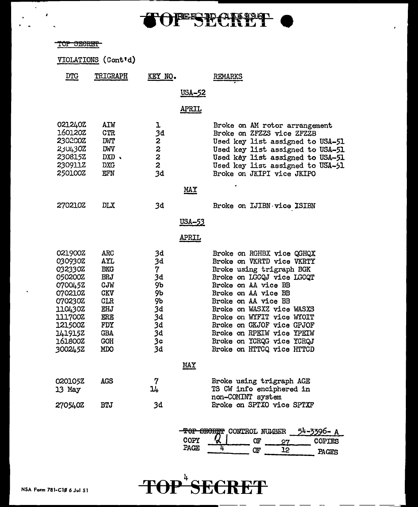

# TOP SECRET

 $\mathcal{L}^{\pm}$ 

 $\ddot{\phantom{a}}$ 

 $\mathcal{I}$  $\ddot{\phantom{1}}$ 

|                                                                                                                                                    | VIOLATIONS (Cont'd)                                                                                                                      |                                                                           |               |                                                                                                                                                                                                                                                                                                                                                                    |
|----------------------------------------------------------------------------------------------------------------------------------------------------|------------------------------------------------------------------------------------------------------------------------------------------|---------------------------------------------------------------------------|---------------|--------------------------------------------------------------------------------------------------------------------------------------------------------------------------------------------------------------------------------------------------------------------------------------------------------------------------------------------------------------------|
| <u>DTG</u>                                                                                                                                         | TRIGRAPH                                                                                                                                 | KEY NO.                                                                   |               | REMARKS                                                                                                                                                                                                                                                                                                                                                            |
|                                                                                                                                                    |                                                                                                                                          |                                                                           | <u>USA-52</u> |                                                                                                                                                                                                                                                                                                                                                                    |
|                                                                                                                                                    |                                                                                                                                          |                                                                           | <u>APRIL</u>  |                                                                                                                                                                                                                                                                                                                                                                    |
| 0212402<br>160120Z<br>230200Z<br>2304302<br>2308152<br>230911Z<br>250100Z                                                                          | AIW<br><b>CTR</b><br><b>DWT</b><br>DWV<br>$DXD \sim$<br><b>DXG</b><br>EFN                                                                | ı<br>3d<br>$222$<br>$22$<br>3d                                            |               | Broke on AM rotor arrangement<br>Broke on ZFZZS vice ZFZZB<br>Used key list assigned to USA-51<br>Used key list assigned to USA-51<br>Used key list assigned to USA-51<br>Used key list assigned to USA-51<br>Broke on JKIPI vice JKIPO                                                                                                                            |
|                                                                                                                                                    |                                                                                                                                          |                                                                           | <b>MAY</b>    |                                                                                                                                                                                                                                                                                                                                                                    |
| <b>270210Z</b>                                                                                                                                     | DLX                                                                                                                                      | 3d                                                                        |               | Broke on IJIBN vice ISIBN                                                                                                                                                                                                                                                                                                                                          |
|                                                                                                                                                    |                                                                                                                                          |                                                                           | <u>USA-53</u> |                                                                                                                                                                                                                                                                                                                                                                    |
|                                                                                                                                                    |                                                                                                                                          |                                                                           | <u>APRIL</u>  |                                                                                                                                                                                                                                                                                                                                                                    |
| 021900Z<br>030930Z<br>032330Z<br>050200Z<br>0700452<br>070210Z<br>070230Z<br>110430Z<br>111700Z<br>121500Z<br>1419152<br><b>161800Z</b><br>3002452 | <b>ARC</b><br>AYL<br><b>BKG</b><br><b>BRJ</b><br>CJW<br><b>CKV</b><br><b>CLR</b><br>EHJ<br>ERE<br>FDY<br><b>GBA</b><br><b>GOH</b><br>MDO | 3d<br>3d<br>7<br>3d<br>9b<br>9b<br>9ь<br>3d<br>3d<br>3d<br>3d<br>3с<br>3d |               | Broke on RGHBX vice QGHQX<br>Broke on VKRTD vice VKRTY<br>Broke using trigraph BGK<br>Broke on LGCQJ vice LGCQT<br>Broke on AA vice BB<br>Broke on AA vice BB<br>Broke on AA vice BB<br>Broke on WASXZ vice WASXS<br>Broke on WYFIT vice WYOIT<br>Broke on GKJOF vice GPJOF<br>Broke on RPEIW vice YPEIW<br>Broke on YCRQG vice YCRQJ<br>Broke on HTTCQ vice HTTCD |
|                                                                                                                                                    |                                                                                                                                          |                                                                           | <b>MAY</b>    |                                                                                                                                                                                                                                                                                                                                                                    |
| 0201052<br>13 May                                                                                                                                  | AGS                                                                                                                                      | 7<br>14                                                                   |               | Broke using trigraph AGE<br>TS CW info enciphered in<br>non-COMINT system                                                                                                                                                                                                                                                                                          |
| 270540Z                                                                                                                                            | <b>BTJ</b>                                                                                                                               | 3d                                                                        |               | Broke on SPTXO vice SPTXF                                                                                                                                                                                                                                                                                                                                          |
|                                                                                                                                                    |                                                                                                                                          |                                                                           |               |                                                                                                                                                                                                                                                                                                                                                                    |

|      |  | TOP SECRET CONTROL NUMBER 54-3396-A |
|------|--|-------------------------------------|
| COPY |  | <b>COPTES</b>                       |
| PAGE |  | PACTIC                              |

 $\overline{\phantom{0}}$ 



..... ----------------------------------------~--- ~- -~ ~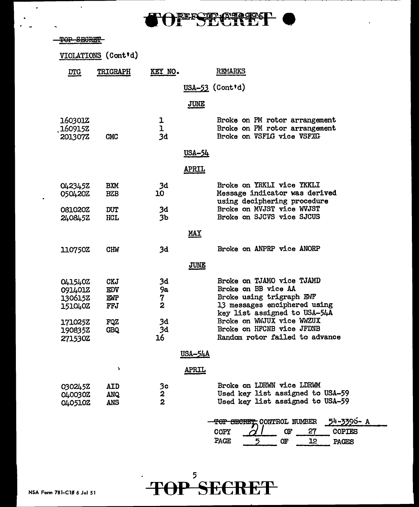

|                                                                   | VIOLATIONS (Cont'd)                           |                                        |                |                                                                                                                                                                           |
|-------------------------------------------------------------------|-----------------------------------------------|----------------------------------------|----------------|---------------------------------------------------------------------------------------------------------------------------------------------------------------------------|
| <u>DTG</u>                                                        | TRIGRAPH                                      | KEY NO.                                |                | REMARKS                                                                                                                                                                   |
|                                                                   |                                               |                                        |                | USA-53 (Cont'd)                                                                                                                                                           |
|                                                                   |                                               |                                        | <b>JUNE</b>    |                                                                                                                                                                           |
| <b>160301Z</b><br>1609152<br>201307Z                              | <b>CMC</b>                                    | ı<br>ı<br>3d                           |                | Broke on PM rotor arrangement<br>Broke on PM rotor arrangement<br>Broke on VSFLG vice VSFXG                                                                               |
|                                                                   |                                               |                                        | <u>USA-54</u>  |                                                                                                                                                                           |
|                                                                   |                                               |                                        | <u>APRIL</u>   |                                                                                                                                                                           |
| 0423452<br>050420Z                                                | <b>BXM</b><br><b>BZB</b>                      | 3d<br>10                               |                | Broke on YRKLI vice YKKLI<br>Message indicator was derived<br>using deciphering procedure                                                                                 |
| 081020Z<br>2408452                                                | <b>DUT</b><br>HCL                             | 3d<br>3 <sub>b</sub>                   |                | Broke on MVJST vice WVJST<br>Broke on SJCVS vice SJCUS                                                                                                                    |
|                                                                   |                                               |                                        | <b>MAY</b>     |                                                                                                                                                                           |
| 110750Z                                                           | <b>CHW</b>                                    | 3d                                     |                | Broke on ANPRP vice ANORP                                                                                                                                                 |
|                                                                   |                                               |                                        | <b>JUNE</b>    |                                                                                                                                                                           |
| <b>041540Z</b><br>091401Z<br>130615Z<br>151040Z<br><b>171025Z</b> | <b>CKJ</b><br><b>EDV</b><br>EMP<br>FFJ<br>FQZ | 3d<br>9а<br>7<br>2<br>3d               |                | Broke on TJAMO vice TJAMD<br>Broke on BB vice AA<br>Broke using trigraph ENF<br>13 messages enciphered using<br>key list assigned to USA-54A<br>Broke on WWJUX vice WWZUX |
| 190835Z<br>271530Z                                                | <b>GBQ</b>                                    | 3d<br>16                               |                | Broke on HFCNB vice JFDNB<br>Random rotor failed to advance                                                                                                               |
|                                                                   |                                               |                                        | <b>USA-54A</b> |                                                                                                                                                                           |
|                                                                   | ١                                             |                                        | <b>APRIL</b>   |                                                                                                                                                                           |
| 0302452<br>O40030Z<br>0405102                                     | <b>AID</b><br><b>ANQ</b><br>ANS               | $\frac{3}{5}$ c<br>2<br>$\overline{2}$ |                | Broke on LDRWN vice LDRWM<br>Used key list assigned to USA-59<br>Used key list assigned to USA-59                                                                         |
|                                                                   |                                               |                                        |                | TOP SECRET CONTROL NUMBER<br>54-3396- A<br>27<br><b>OF</b><br><b>COPIES</b><br>COPY<br>PAGE<br>5<br>12<br>Œ<br>PAGES                                                      |



 $\bullet$ 

 $\ddot{\phantom{a}}$ 

 $\ddot{\phantom{0}}$ 

 $\blacksquare$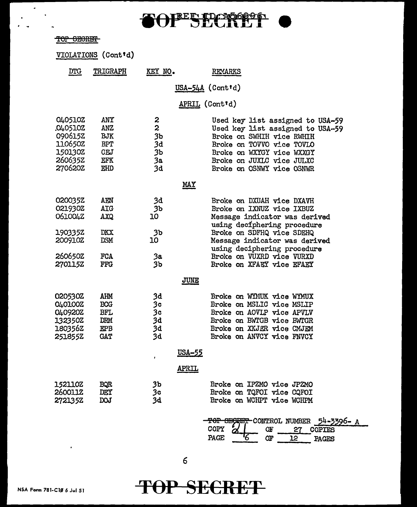### $\overline{\mathbf{f}}$ OFER DAGGES

|        | man amantan    |
|--------|----------------|
| 1 UL - | <b>DEOILET</b> |
|        |                |

 $\mathbf{z}$  $\sim$   $\sim$ 

 $\overline{a}$ 

 $\mathbf{r}$  $\ddot{\phantom{1}}$ 

|                                                                           | VIOLATIONS (Cont'd)                                                       |                                        |                                                                                                                                                                                                                       |  |  |  |  |  |
|---------------------------------------------------------------------------|---------------------------------------------------------------------------|----------------------------------------|-----------------------------------------------------------------------------------------------------------------------------------------------------------------------------------------------------------------------|--|--|--|--|--|
| DTG                                                                       | TRIGRAPH                                                                  | KEY NO.                                | REMARKS                                                                                                                                                                                                               |  |  |  |  |  |
|                                                                           | $USA-54A$ (Contrd)                                                        |                                        |                                                                                                                                                                                                                       |  |  |  |  |  |
|                                                                           |                                                                           |                                        | APRIL (Cont'd)                                                                                                                                                                                                        |  |  |  |  |  |
| 040510Z<br>0405102<br>0906152<br>110650Z<br>150130Z<br>2606352<br>270620Z | ANY<br>ANZ<br><b>BJK</b><br><b>BPT</b><br><b>CEJ</b><br>EFK<br>EHD        | 2<br>2<br>3b<br>3d<br>3b<br>3a<br>3d   | Used key list assigned to USA-59<br>Used key list assigned to USA-59<br>Broke on SWHIH vice RWHIH<br>Broke on TOVVO vice TOVLO<br>Broke on WXYGY vice WXXGY<br>Broke on JUXLC vice JULXC<br>Broke on OSNWY vice OSNWR |  |  |  |  |  |
|                                                                           |                                                                           |                                        | <b>MAY</b>                                                                                                                                                                                                            |  |  |  |  |  |
| 020035Z<br>021930Z<br>061004Z<br>190335Z                                  | AEN<br>AIG<br><b>AXQ</b><br><b>DKX</b>                                    | 3d<br>3ъ<br>10<br>3 <sub>b</sub>       | Broke on DXUAH vice DXAVH<br>Broke on IXNUZ vice IXBUZ<br>Message indicator was derived<br>using deciphering procedure<br>Broke on SDFHQ vice SDEHQ                                                                   |  |  |  |  |  |
| 200910Z<br>260650Z<br><b>270115Z</b>                                      | <b>DSM</b><br><b>FCA</b><br><b>FFG</b>                                    | 10<br>За<br>3b                         | Message indicator was derived<br>using deciphering procedure<br>Broke on VUXRD vice VURXD<br>Broke on XFAEY vice EFAEY                                                                                                |  |  |  |  |  |
|                                                                           |                                                                           |                                        | <b>JUNE</b>                                                                                                                                                                                                           |  |  |  |  |  |
| 020530Z<br>040100Z<br>040920Z<br>132350Z<br>180356Z<br>251855Z            | AHM<br><b>BCG</b><br><b>BFL</b><br><b>DRM</b><br><b>EPB</b><br><b>GAT</b> | 3d<br>3c<br>3c<br>3d<br>3d<br>3d       | Broke on WIMUK vice WIMUX<br>Broke on MSLIC vice MSLIP<br>Broke on AOVLP vice APVLV<br>Broke on BWTGB vice BWTGR<br>Broke on XKJER vice CMJEM<br>Broke on ANVCY vice FNVCY                                            |  |  |  |  |  |
|                                                                           |                                                                           |                                        | <u>USA-55</u>                                                                                                                                                                                                         |  |  |  |  |  |
| 152110Z<br>2600112<br>272135Z                                             | <b>BQR</b><br>DEY<br><b>DOJ</b>                                           | 3 <sub>b</sub><br>3 <sub>c</sub><br>3d | APRIL<br>Broke on IPZMO vice JPZMO<br>Broke on TQFOI vice CQFOI<br>Broke on WCHPT vice WCHPM                                                                                                                          |  |  |  |  |  |

|        |    | <del>TOP SECRET</del> CONTROL NUMBER 54-3396- A |  |
|--------|----|-------------------------------------------------|--|
| COPY   | ОF | COPTES                                          |  |
| PA CF. |    | A CITO                                          |  |

**T()P SE€RET** 

 $\ddot{\phantom{1}}$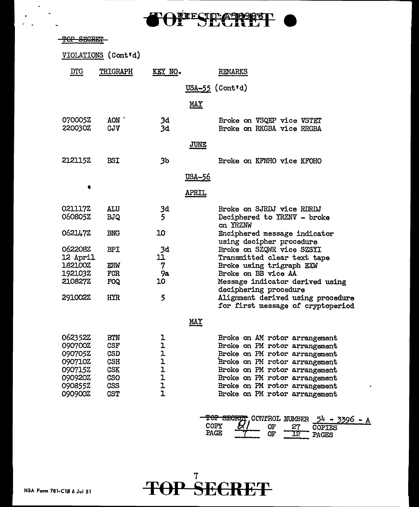

### -TOP SECRET

 $\epsilon$ 

|                                                                                      | VIOLATIONS (Cont'd)                                                                                   |                                                                       |                                                                                                                                                                                                                                                                      |
|--------------------------------------------------------------------------------------|-------------------------------------------------------------------------------------------------------|-----------------------------------------------------------------------|----------------------------------------------------------------------------------------------------------------------------------------------------------------------------------------------------------------------------------------------------------------------|
| DTG                                                                                  | TRIGRAPH                                                                                              | KEY NO.                                                               | REMARKS                                                                                                                                                                                                                                                              |
|                                                                                      |                                                                                                       |                                                                       | $USA-55$ (Cont'd)                                                                                                                                                                                                                                                    |
|                                                                                      |                                                                                                       |                                                                       | <u>MAY</u>                                                                                                                                                                                                                                                           |
| 070005Z<br>220030Z                                                                   | AON '<br><b>CJV</b>                                                                                   | 3d<br>3d                                                              | Broke on VSQEP vice VSTET<br>Broke on RKGBA vice RRGBA                                                                                                                                                                                                               |
|                                                                                      |                                                                                                       |                                                                       | <b>JUNE</b>                                                                                                                                                                                                                                                          |
| 2121152                                                                              | <b>BSI</b>                                                                                            | 3 <sub>b</sub>                                                        | Broke on KFNHO vice KFOHO                                                                                                                                                                                                                                            |
|                                                                                      |                                                                                                       |                                                                       | <u>USA-56</u>                                                                                                                                                                                                                                                        |
|                                                                                      |                                                                                                       |                                                                       | <b>APRIL</b>                                                                                                                                                                                                                                                         |
| 0211172<br>060805Z                                                                   | ALU<br><b>BJQ</b>                                                                                     | 3d<br>5                                                               | Broke on SJRDJ vice RDRDJ<br>Deciphered to YRZNV - broke<br>on YRZNW                                                                                                                                                                                                 |
| 0621472                                                                              | <b>BNG</b>                                                                                            | 10                                                                    | Enciphered message indicator<br>using decipher procedure                                                                                                                                                                                                             |
| 062208Z<br>12 April                                                                  | <b>BPI</b>                                                                                            | 3d<br>בב                                                              | Broke on SZQWR vice SZSYI<br>Transmitted clear text tape                                                                                                                                                                                                             |
| <b>182100Z</b>                                                                       | ERW                                                                                                   | 7                                                                     | Broke using trigraph EXW                                                                                                                                                                                                                                             |
| 192103Z                                                                              | <b>FCR</b>                                                                                            | 9а                                                                    | Broke on BB vice AA                                                                                                                                                                                                                                                  |
| 2108272                                                                              | <b>FOQ</b>                                                                                            | 10                                                                    | Message indicator derived using<br>deciphering procedure                                                                                                                                                                                                             |
| 291002Z                                                                              | <b>HYR</b>                                                                                            | 5                                                                     | Alignment derived using procedure<br>for first message of cryptoperiod                                                                                                                                                                                               |
|                                                                                      |                                                                                                       |                                                                       | <u>MAY</u>                                                                                                                                                                                                                                                           |
| 062352Z<br>090700Z<br>090705Z<br>090710Z<br>090715Z<br>090920Z<br>090855Z<br>090900Z | <b>BTN</b><br><b>CSF</b><br><b>CSD</b><br><b>CSH</b><br><b>CSK</b><br><b>CSO</b><br>CSS<br><b>CST</b> | ı<br>$\mathbf{I}$<br>ı<br>1<br>$\mathbf{I}$<br>ı<br>l<br>$\mathbf{I}$ | Broke on AM rotor arrangement<br>Broke on PM rotor arrangement<br>Broke on PM rotor arrangement<br>Broke on PM rotor arrangement<br>Broke on PM rotor arrangement<br>Broke on PM rotor arrangement<br>Broke on PM rotor arrangement<br>Broke on PM rotor arrangement |

 $\frac{10P}{10P}$  SECRET, COL'I'ROL NUMBER  $\frac{54 - 3396 - A}{P}$  $COPY$   $\alpha$  of  $27$  COPIES PAGE  $T$  OF  $T2$  PAGES

 $\ddot{\phantom{a}}$ 

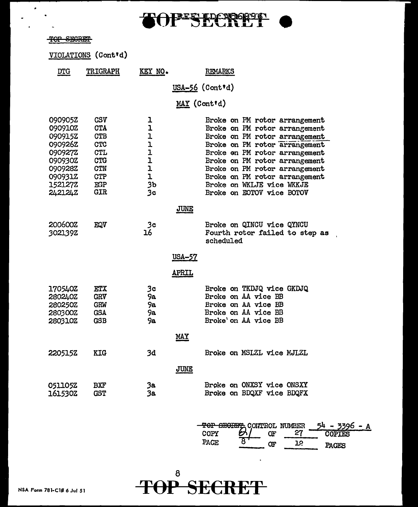# $TOF*STECRE1$  (

## for secrem

 $\bullet$ 

|                                                                                                            | VIOLATIONS (Cont'd)                                                                                                        |                                                                                                                    |                                                                                                                                                                                                                                                                                                                                |
|------------------------------------------------------------------------------------------------------------|----------------------------------------------------------------------------------------------------------------------------|--------------------------------------------------------------------------------------------------------------------|--------------------------------------------------------------------------------------------------------------------------------------------------------------------------------------------------------------------------------------------------------------------------------------------------------------------------------|
| $DTG$                                                                                                      | <b>TRIGRAPH</b>                                                                                                            | KEY NO.                                                                                                            | REMARKS                                                                                                                                                                                                                                                                                                                        |
|                                                                                                            |                                                                                                                            |                                                                                                                    | $USA-56$ (Cont'd)                                                                                                                                                                                                                                                                                                              |
|                                                                                                            |                                                                                                                            |                                                                                                                    | MAY (Cont'd)                                                                                                                                                                                                                                                                                                                   |
| 090905Z<br>090910Z<br>090915Z<br>0909262<br>0909272<br>090930Z<br>090928Z<br>090931Z<br>1521272<br>242124Z | <b>CSV</b><br><b>CTA</b><br><b>CTB</b><br><b>CTC</b><br><b>CTL</b><br><b>CTG</b><br><b>CTN</b><br><b>CTP</b><br>EGP<br>GIR | ı<br>ı<br>1<br>$\begin{array}{c} 1 \\ 1 \\ 1 \end{array}$<br>$\mathbf{I}$<br>l<br>3 <sub>b</sub><br>3 <sub>c</sub> | Broke on PM rotor arrangement<br>Broke on PM rotor arrangement<br>Broke on PM rotor arrangement<br>Broke on PM rotor arrangement<br>Broke on PM rotor arrangement<br>Broke on PM rotor arrangement<br>Broke on PM rotor arrangement<br>Broke on PM rotor arrangement<br>Broke on WKLJE vice WKKJE<br>Broke on EOTOV vice BOTOV |
|                                                                                                            |                                                                                                                            |                                                                                                                    | JUNE                                                                                                                                                                                                                                                                                                                           |
| 200600Z<br>3021392                                                                                         | EQV                                                                                                                        | 3 <sub>c</sub><br>16                                                                                               | Broke on QINCU vice QYNCU<br>Fourth rotor failed to step as<br>scheduled                                                                                                                                                                                                                                                       |
|                                                                                                            |                                                                                                                            |                                                                                                                    | <u>USA-57</u>                                                                                                                                                                                                                                                                                                                  |
|                                                                                                            |                                                                                                                            |                                                                                                                    | <u>APRIL</u>                                                                                                                                                                                                                                                                                                                   |
| 170540Z<br>280240Z<br>280250Z<br>280300Z<br>280310Z                                                        | <b>ETX</b><br><b>GRV</b><br><b>GRW</b><br><b>GSA</b><br><b>GSB</b>                                                         | 3c<br>9а<br>9а<br>9а<br>9а                                                                                         | Broke on TKDJQ vice GKDJQ<br>Broke on AA vice BB<br>Broke on AA vice BB<br>Broke on AA vice BB<br>Broke'on AA vice BB                                                                                                                                                                                                          |
|                                                                                                            |                                                                                                                            |                                                                                                                    | <u>MAY</u>                                                                                                                                                                                                                                                                                                                     |
| 2205152                                                                                                    | KIG                                                                                                                        | 3d                                                                                                                 | Broke on MSLZL vice MJLZL<br>JUNE                                                                                                                                                                                                                                                                                              |
| 0511052<br>161530Z                                                                                         | BXF<br><b>GST</b>                                                                                                          | 3a<br>3a                                                                                                           | Broke on ONXSY vice ONSXY<br>Broke on BDQXF vice BDQFX                                                                                                                                                                                                                                                                         |
|                                                                                                            |                                                                                                                            |                                                                                                                    | TOP SECRET CONTROL NUMBER<br>$54 - 3396 - A$<br>Ы<br>27<br>COPY<br><b>OF</b><br>COPTES                                                                                                                                                                                                                                         |

| <del>TOP SECRET</del> CONTROL NUMBER |     |  | 3306   |  |
|--------------------------------------|-----|--|--------|--|
| COPY                                 | זור |  | COPTES |  |
| PACT                                 | ጋፑ  |  | PACIES |  |

 $\ddot{\phantom{a}}$ 

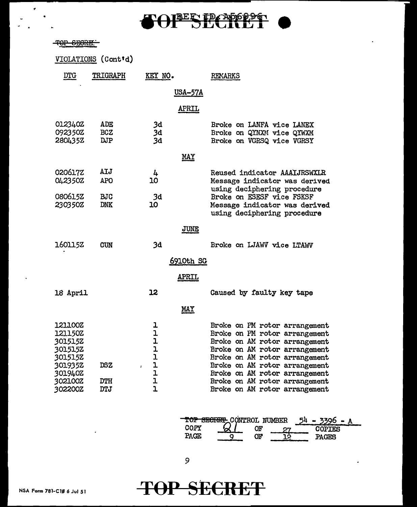# er a strategier en de la composition de la composition de la composition de la composition de la composition de<br>La composition de la composition de la composition de la composition de la composition de la composition de la

#### -TOP SECRET

.,

|                                                                           | VIOLATIONS (Cont'd)      |                       |                                                                                                                                                                                                                                     |
|---------------------------------------------------------------------------|--------------------------|-----------------------|-------------------------------------------------------------------------------------------------------------------------------------------------------------------------------------------------------------------------------------|
| <b>DTG</b>                                                                | TRIGRAPH                 | KEY NO.               | <b>REMARKS</b>                                                                                                                                                                                                                      |
|                                                                           |                          |                       | <u>USA-57A</u>                                                                                                                                                                                                                      |
|                                                                           |                          |                       | APRIL                                                                                                                                                                                                                               |
| 0123402<br>092350Z<br>280435Z                                             | ADE<br><b>BCZ</b><br>DJP | 3d<br>3d<br>3d        | Broke on LANFA vice LANEX<br>Broke on QYNXM vice QYWXM<br>Broke on VGRSQ vice VGRSY                                                                                                                                                 |
|                                                                           |                          |                       | <u>MAY</u>                                                                                                                                                                                                                          |
| 020617Z<br>042350Z                                                        | AIJ<br><b>APO</b>        | 4<br>10               | Reused indicator AAAIJRSWXLR<br>Message indicator was derived<br>using deciphering procedure                                                                                                                                        |
| 080615Z<br>230350Z                                                        | <b>BJC</b><br><b>DNK</b> | 3d<br>10              | Broke on ESESF vice FSKSF<br>Message indicator was derived<br>using deciphering procedure                                                                                                                                           |
|                                                                           |                          |                       | JUNE                                                                                                                                                                                                                                |
| 160115Z                                                                   | <b>CUN</b>               | 3d                    | Broke on LJAWV vice LTAWV                                                                                                                                                                                                           |
|                                                                           |                          |                       | <u>6910th SG</u>                                                                                                                                                                                                                    |
|                                                                           |                          | <b>APRIL</b>          |                                                                                                                                                                                                                                     |
| 18 April                                                                  |                          | 12                    | Caused by faulty key tape                                                                                                                                                                                                           |
|                                                                           |                          | <b>MAY</b>            |                                                                                                                                                                                                                                     |
| 121100Z<br>121150Z<br>301515Z<br>3015152<br>301515Z<br>301935Z<br>301940Z | <b>DSZ</b>               | ı<br>1<br>ユユユユユ<br>ł. | Broke on PM rotor arrangement<br>Broke on PM rotor arrangement<br>Broke on AM rotor arrangement<br>Broke on AM rotor arrangement<br>Broke on AM rotor arrangement<br>Broke on AM rotor arrangement<br>Broke on AM rotor arrangement |
| <b>302100Z</b><br>302200Z                                                 | DTH<br><b>DTJ</b>        | ı<br>$\overline{1}$   | Broke on AM rotor arrangement<br>Broke on AM rotor arrangement                                                                                                                                                                      |

**POP SECRET CONTROL NUMBER 54 - 3396 - A**<br>
COPY 27 COPIES<br>
PAGE 9 OF 12 PAGES PAGES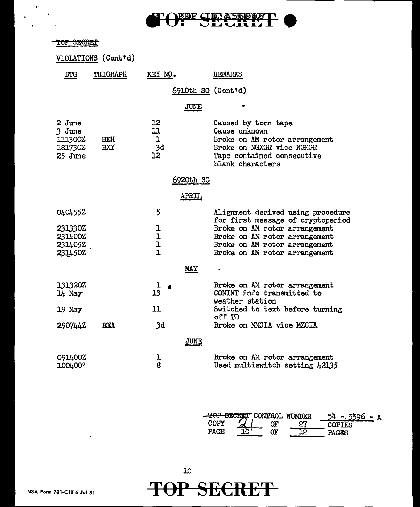# **FOPF SECRET**

|                                                     |                     |                             | <b>TIDASGODA</b><br>JELOHELL                                                                                                                         |
|-----------------------------------------------------|---------------------|-----------------------------|------------------------------------------------------------------------------------------------------------------------------------------------------|
| TOP SECRET                                          |                     |                             |                                                                                                                                                      |
|                                                     | VIOLATIONS (Cont'd) |                             |                                                                                                                                                      |
| <b>DTG</b>                                          | TRIGRAPH            | KEY NO.                     | REMARKS                                                                                                                                              |
|                                                     |                     |                             | 6910th SG (Cont'd)                                                                                                                                   |
|                                                     |                     |                             | JUNE                                                                                                                                                 |
| 2 June<br>3 June<br>111300Z<br>181730Z<br>$25$ June | BEH<br><b>BXY</b>   | 12<br>11<br>1<br>3d<br>12   | Caused by torn tape<br>Cause unknown<br>Broke on AM rotor arrangement<br>Broke on NGXGR vice NGMGR<br>Tape contained consecutive<br>blank characters |
|                                                     |                     |                             | 6920th SG                                                                                                                                            |
|                                                     |                     |                             | <u>APRIL</u>                                                                                                                                         |
| 0404552<br>231330Z<br>231400Z                       |                     | 5<br>ı<br>ı<br>$\mathbf{I}$ | Alignment derived using procedure<br>for first message of cryptoperiod<br>Broke on AM rotor arrangement<br>Broke on AM rotor arrangement             |
| 2314052<br>2314502                                  |                     | $\mathbf{I}$                | Broke on AM rotor arrangement<br>Broke on AM rotor arrangement                                                                                       |
|                                                     |                     |                             | <u>MAY</u>                                                                                                                                           |
| 131320Z<br>14 May                                   |                     | 13                          | Broke on AM rotor arrangement<br>COMINT info transmitted to<br>weather station                                                                       |
| 19 May                                              |                     | 11                          | Switched to text before turning<br>off TD                                                                                                            |
| 2907442                                             | <b>EEA</b>          | 3d                          | Broke on MMCIA vice MZCIA                                                                                                                            |
|                                                     |                     |                             | JUNE                                                                                                                                                 |
| 091400Z<br>1004007                                  |                     | l<br>8                      | Broke on AM rotor arrangement<br>Used multiswitch setting 42135                                                                                      |

|       | -TOP SECRET CONTROL NUMBER |               |
|-------|----------------------------|---------------|
|       | ببر                        | <b>COPTES</b> |
| PACE. | ١Г                         |               |

 $\ddot{\phantom{a}}$ 

,.

 $\omega$  .  $\frac{1}{4}$ 

 $\bar{z}$ 

 $\bullet$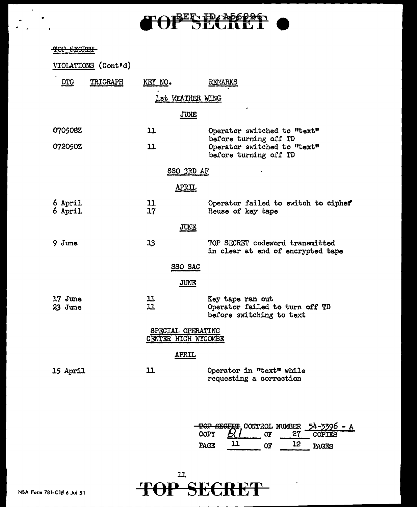# **BERIDAD60960**

### TOP SEGRET

•

 $\mathcal{L}_{\mathcal{C}}$ 

|                    | VIOLATIONS (Cont'd) |                       |                                          |                                                                                |  |  |
|--------------------|---------------------|-----------------------|------------------------------------------|--------------------------------------------------------------------------------|--|--|
| <u>DTG</u>         | TRIGRAPH            | KEY NO.               |                                          | REMARKS                                                                        |  |  |
|                    |                     |                       | 1st WEATHER WING                         |                                                                                |  |  |
|                    |                     |                       | <b>JUNE</b>                              |                                                                                |  |  |
| 070508Z            |                     | 11                    |                                          | Operator switched to "text"                                                    |  |  |
| 072050Z            | 11                  |                       |                                          | before turning off TD<br>Operator switched to "text"<br>before turning off TD  |  |  |
|                    |                     |                       | SSO 3RD AF                               |                                                                                |  |  |
|                    |                     |                       | APRIL                                    |                                                                                |  |  |
| 6 April<br>6 April |                     | 11<br>17 <sub>2</sub> |                                          | Operator failed to switch to cipher<br>Reuse of key tape                       |  |  |
|                    |                     |                       | JUNE                                     |                                                                                |  |  |
| $9 \; \text{June}$ |                     | 13                    |                                          | TOP SECRET codeword transmitted<br>in clear at end of encrypted tape           |  |  |
|                    |                     |                       | SSO SAC                                  |                                                                                |  |  |
|                    |                     |                       | JUNE                                     |                                                                                |  |  |
| 17 June<br>23 June |                     | 11<br>11              |                                          | Key tape ran out<br>Operator failed to turn off TD<br>before switching to text |  |  |
|                    |                     |                       | SPECIAL OPERATING<br>CENTER HIGH WYCOMBE |                                                                                |  |  |
|                    |                     |                       | <b>APRIL</b>                             |                                                                                |  |  |
| <b>15 April</b>    |                     | 11                    |                                          | Operator in "text" while<br>requesting a correction                            |  |  |



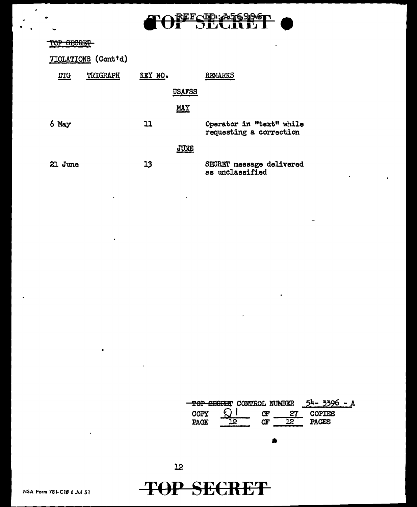

## TOP SEGREET

 $\epsilon$ 

| VIOLATIONS (Cont'd) |          |         |               |                                                     |  |  |  |
|---------------------|----------|---------|---------------|-----------------------------------------------------|--|--|--|
| $DTG$               | TRIGRAPH | KEY NO. |               | REMARKS                                             |  |  |  |
|                     |          |         | <b>USAFSS</b> |                                                     |  |  |  |
|                     |          |         | <b>MAY</b>    |                                                     |  |  |  |
| 6 May               |          | 11      |               | Operator in "text" while<br>requesting a correction |  |  |  |
|                     |          |         | JUNE          |                                                     |  |  |  |
| 21 June             |          | 13      |               | SECRET message delivered<br>as unclassified         |  |  |  |

 $\ddot{\phantom{a}}$ 



l.

**TOP SECRET** 

 $\bullet$